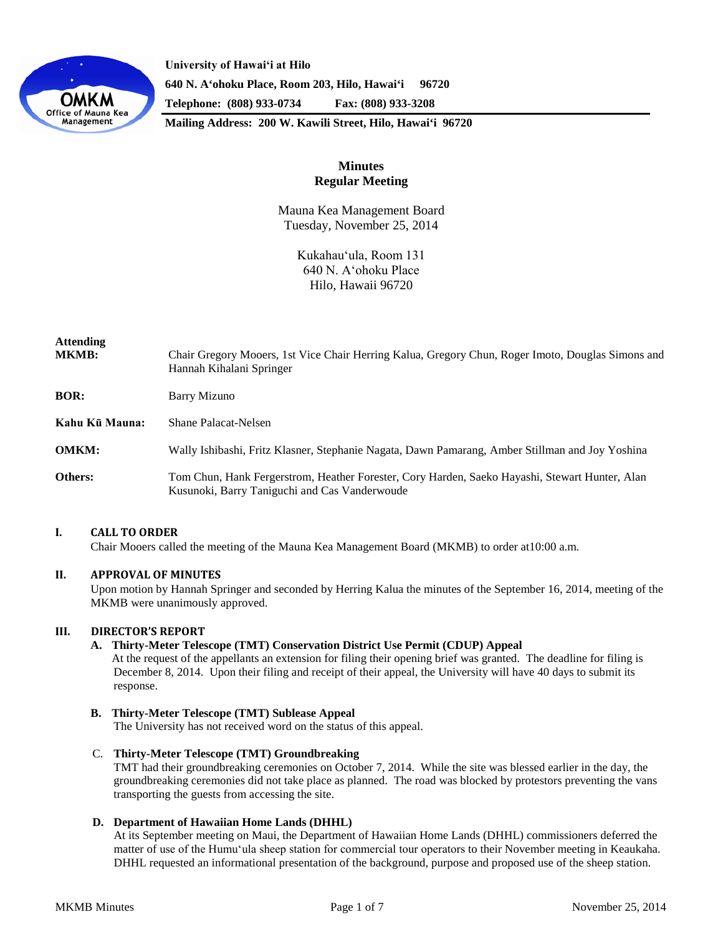

**University of Hawaiʻi at Hilo 640 N. A'ohoku Place, Room 203, Hilo, Hawai'i 96720 Telephone: (808) 933-0734 Fax: (808) 933-3208**

**Mailing Address: 200 W. Kawili Street, Hilo, Hawai'i 96720**

# **Minutes Regular Meeting**

Mauna Kea Management Board Tuesday, November 25, 2014

> Kukahauʻula, Room 131 640 N. Aʻohoku Place Hilo, Hawaii 96720

| Attending<br>MKMB: | Chair Gregory Mooers, 1st Vice Chair Herring Kalua, Gregory Chun, Roger Imoto, Douglas Simons and<br>Hannah Kihalani Springer                   |
|--------------------|-------------------------------------------------------------------------------------------------------------------------------------------------|
| BOR:               | Barry Mizuno                                                                                                                                    |
| Kahu Kū Mauna:     | <b>Shane Palacat-Nelsen</b>                                                                                                                     |
| <b>OMKM:</b>       | Wally Ishibashi, Fritz Klasner, Stephanie Nagata, Dawn Pamarang, Amber Stillman and Joy Yoshina                                                 |
| Others:            | Tom Chun, Hank Fergerstrom, Heather Forester, Cory Harden, Saeko Hayashi, Stewart Hunter, Alan<br>Kusunoki, Barry Taniguchi and Cas Vanderwoude |

# **I. CALL TO ORDER**

Chair Mooers called the meeting of the Mauna Kea Management Board (MKMB) to order at10:00 a.m.

# **II. APPROVAL OF MINUTES**

Upon motion by Hannah Springer and seconded by Herring Kalua the minutes of the September 16, 2014, meeting of the MKMB were unanimously approved.

### **III. DIRECTOR'S REPORT**

### **A. Thirty-Meter Telescope (TMT) Conservation District Use Permit (CDUP) Appeal**

At the request of the appellants an extension for filing their opening brief was granted. The deadline for filing is December 8, 2014. Upon their filing and receipt of their appeal, the University will have 40 days to submit its response.

#### **B. Thirty-Meter Telescope (TMT) Sublease Appeal**

The University has not received word on the status of this appeal.

## C. **Thirty-Meter Telescope (TMT) Groundbreaking**

TMT had their groundbreaking ceremonies on October 7, 2014. While the site was blessed earlier in the day, the groundbreaking ceremonies did not take place as planned. The road was blocked by protestors preventing the vans transporting the guests from accessing the site.

#### **D. Department of Hawaiian Home Lands (DHHL)**

At its September meeting on Maui, the Department of Hawaiian Home Lands (DHHL) commissioners deferred the matter of use of the Humuʻula sheep station for commercial tour operators to their November meeting in Keaukaha. DHHL requested an informational presentation of the background, purpose and proposed use of the sheep station.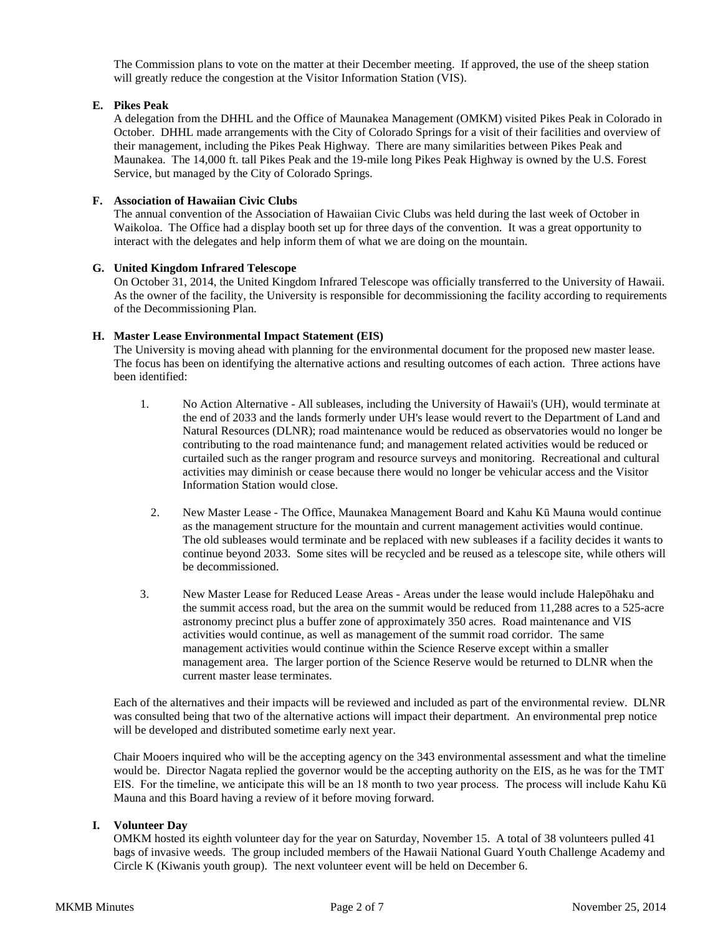The Commission plans to vote on the matter at their December meeting. If approved, the use of the sheep station will greatly reduce the congestion at the Visitor Information Station (VIS).

# **E. Pikes Peak**

A delegation from the DHHL and the Office of Maunakea Management (OMKM) visited Pikes Peak in Colorado in October. DHHL made arrangements with the City of Colorado Springs for a visit of their facilities and overview of their management, including the Pikes Peak Highway. There are many similarities between Pikes Peak and Maunakea. The 14,000 ft. tall Pikes Peak and the 19-mile long Pikes Peak Highway is owned by the U.S. Forest Service, but managed by the City of Colorado Springs.

# **F. Association of Hawaiian Civic Clubs**

The annual convention of the Association of Hawaiian Civic Clubs was held during the last week of October in Waikoloa. The Office had a display booth set up for three days of the convention. It was a great opportunity to interact with the delegates and help inform them of what we are doing on the mountain.

# **G. United Kingdom Infrared Telescope**

On October 31, 2014, the United Kingdom Infrared Telescope was officially transferred to the University of Hawaii. As the owner of the facility, the University is responsible for decommissioning the facility according to requirements of the Decommissioning Plan.

# **H. Master Lease Environmental Impact Statement (EIS)**

The University is moving ahead with planning for the environmental document for the proposed new master lease. The focus has been on identifying the alternative actions and resulting outcomes of each action. Three actions have been identified:

- 1. No Action Alternative All subleases, including the University of Hawaii's (UH), would terminate at the end of 2033 and the lands formerly under UH's lease would revert to the Department of Land and Natural Resources (DLNR); road maintenance would be reduced as observatories would no longer be contributing to the road maintenance fund; and management related activities would be reduced or curtailed such as the ranger program and resource surveys and monitoring. Recreational and cultural activities may diminish or cease because there would no longer be vehicular access and the Visitor Information Station would close.
	- 2. New Master Lease The Office, Maunakea Management Board and Kahu Kū Mauna would continue as the management structure for the mountain and current management activities would continue. The old subleases would terminate and be replaced with new subleases if a facility decides it wants to continue beyond 2033. Some sites will be recycled and be reused as a telescope site, while others will be decommissioned.
- 3. New Master Lease for Reduced Lease Areas Areas under the lease would include Halepōhaku and the summit access road, but the area on the summit would be reduced from 11,288 acres to a 525-acre astronomy precinct plus a buffer zone of approximately 350 acres. Road maintenance and VIS activities would continue, as well as management of the summit road corridor. The same management activities would continue within the Science Reserve except within a smaller management area. The larger portion of the Science Reserve would be returned to DLNR when the current master lease terminates.

Each of the alternatives and their impacts will be reviewed and included as part of the environmental review. DLNR was consulted being that two of the alternative actions will impact their department. An environmental prep notice will be developed and distributed sometime early next year.

Chair Mooers inquired who will be the accepting agency on the 343 environmental assessment and what the timeline would be. Director Nagata replied the governor would be the accepting authority on the EIS, as he was for the TMT EIS. For the timeline, we anticipate this will be an 18 month to two year process. The process will include Kahu Kū Mauna and this Board having a review of it before moving forward.

# **I. Volunteer Day**

OMKM hosted its eighth volunteer day for the year on Saturday, November 15. A total of 38 volunteers pulled 41 bags of invasive weeds. The group included members of the Hawaii National Guard Youth Challenge Academy and Circle K (Kiwanis youth group). The next volunteer event will be held on December 6.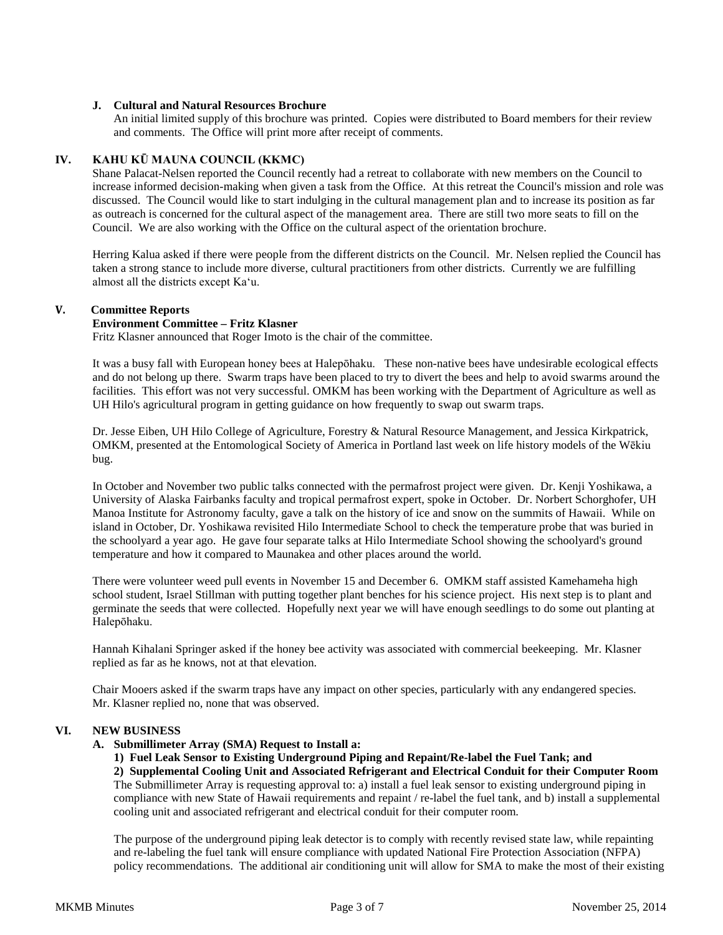# **J. Cultural and Natural Resources Brochure**

An initial limited supply of this brochure was printed. Copies were distributed to Board members for their review and comments. The Office will print more after receipt of comments.

# **IV. KAHU KŪ MAUNA COUNCIL (KKMC)**

Shane Palacat-Nelsen reported the Council recently had a retreat to collaborate with new members on the Council to increase informed decision-making when given a task from the Office. At this retreat the Council's mission and role was discussed. The Council would like to start indulging in the cultural management plan and to increase its position as far as outreach is concerned for the cultural aspect of the management area. There are still two more seats to fill on the Council. We are also working with the Office on the cultural aspect of the orientation brochure.

Herring Kalua asked if there were people from the different districts on the Council. Mr. Nelsen replied the Council has taken a strong stance to include more diverse, cultural practitioners from other districts. Currently we are fulfilling almost all the districts except Kaʻu.

#### **V. Committee Reports**

### **Environment Committee – Fritz Klasner**

Fritz Klasner announced that Roger Imoto is the chair of the committee.

It was a busy fall with European honey bees at Halepōhaku. These non-native bees have undesirable ecological effects and do not belong up there. Swarm traps have been placed to try to divert the bees and help to avoid swarms around the facilities. This effort was not very successful. OMKM has been working with the Department of Agriculture as well as UH Hilo's agricultural program in getting guidance on how frequently to swap out swarm traps.

Dr. Jesse Eiben, UH Hilo College of Agriculture, Forestry & Natural Resource Management, and Jessica Kirkpatrick, OMKM, presented at the Entomological Society of America in Portland last week on life history models of the Wēkiu bug.

In October and November two public talks connected with the permafrost project were given. Dr. Kenji Yoshikawa, a University of Alaska Fairbanks faculty and tropical permafrost expert, spoke in October. Dr. Norbert Schorghofer, UH Manoa Institute for Astronomy faculty, gave a talk on the history of ice and snow on the summits of Hawaii. While on island in October, Dr. Yoshikawa revisited Hilo Intermediate School to check the temperature probe that was buried in the schoolyard a year ago. He gave four separate talks at Hilo Intermediate School showing the schoolyard's ground temperature and how it compared to Maunakea and other places around the world.

There were volunteer weed pull events in November 15 and December 6. OMKM staff assisted Kamehameha high school student, Israel Stillman with putting together plant benches for his science project. His next step is to plant and germinate the seeds that were collected. Hopefully next year we will have enough seedlings to do some out planting at Halepōhaku.

Hannah Kihalani Springer asked if the honey bee activity was associated with commercial beekeeping. Mr. Klasner replied as far as he knows, not at that elevation.

Chair Mooers asked if the swarm traps have any impact on other species, particularly with any endangered species. Mr. Klasner replied no, none that was observed.

# **VI. NEW BUSINESS**

### **A. Submillimeter Array (SMA) Request to Install a:**

**1) Fuel Leak Sensor to Existing Underground Piping and Repaint/Re-label the Fuel Tank; and**

**2) Supplemental Cooling Unit and Associated Refrigerant and Electrical Conduit for their Computer Room**  The Submillimeter Array is requesting approval to: a) install a fuel leak sensor to existing underground piping in compliance with new State of Hawaii requirements and repaint / re-label the fuel tank, and b) install a supplemental cooling unit and associated refrigerant and electrical conduit for their computer room.

The purpose of the underground piping leak detector is to comply with recently revised state law, while repainting and re-labeling the fuel tank will ensure compliance with updated National Fire Protection Association (NFPA) policy recommendations. The additional air conditioning unit will allow for SMA to make the most of their existing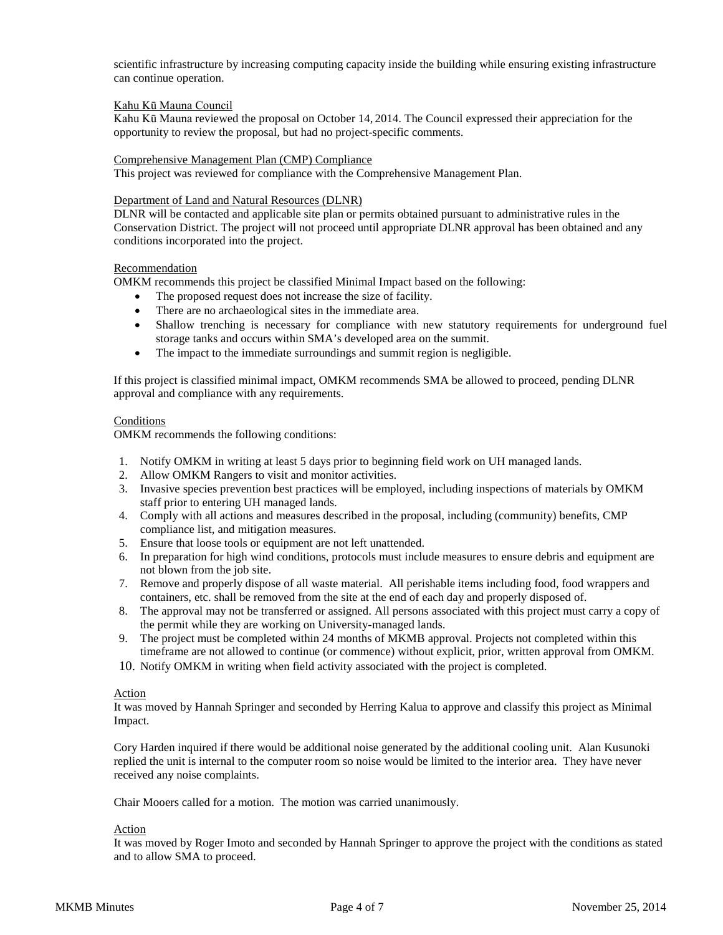scientific infrastructure by increasing computing capacity inside the building while ensuring existing infrastructure can continue operation.

#### Kahu Kū Mauna Council

Kahu Kū Mauna reviewed the proposal on October 14, 2014. The Council expressed their appreciation for the opportunity to review the proposal, but had no project-specific comments.

#### Comprehensive Management Plan (CMP) Compliance

This project was reviewed for compliance with the Comprehensive Management Plan.

### Department of Land and Natural Resources (DLNR)

DLNR will be contacted and applicable site plan or permits obtained pursuant to administrative rules in the Conservation District. The project will not proceed until appropriate DLNR approval has been obtained and any conditions incorporated into the project.

#### Recommendation

OMKM recommends this project be classified Minimal Impact based on the following:

- The proposed request does not increase the size of facility.
- There are no archaeological sites in the immediate area.
- Shallow trenching is necessary for compliance with new statutory requirements for underground fuel storage tanks and occurs within SMA's developed area on the summit.
- The impact to the immediate surroundings and summit region is negligible.

If this project is classified minimal impact, OMKM recommends SMA be allowed to proceed, pending DLNR approval and compliance with any requirements.

#### Conditions

OMKM recommends the following conditions:

- 1. Notify OMKM in writing at least 5 days prior to beginning field work on UH managed lands.
- 2. Allow OMKM Rangers to visit and monitor activities.
- 3. Invasive species prevention best practices will be employed, including inspections of materials by OMKM staff prior to entering UH managed lands.
- 4. Comply with all actions and measures described in the proposal, including (community) benefits, CMP compliance list, and mitigation measures.
- 5. Ensure that loose tools or equipment are not left unattended.
- 6. In preparation for high wind conditions, protocols must include measures to ensure debris and equipment are not blown from the job site.
- 7. Remove and properly dispose of all waste material. All perishable items including food, food wrappers and containers, etc. shall be removed from the site at the end of each day and properly disposed of.
- 8. The approval may not be transferred or assigned. All persons associated with this project must carry a copy of the permit while they are working on University-managed lands.
- 9. The project must be completed within 24 months of MKMB approval. Projects not completed within this timeframe are not allowed to continue (or commence) without explicit, prior, written approval from OMKM.
- 10. Notify OMKM in writing when field activity associated with the project is completed.

#### Action

It was moved by Hannah Springer and seconded by Herring Kalua to approve and classify this project as Minimal Impact.

Cory Harden inquired if there would be additional noise generated by the additional cooling unit. Alan Kusunoki replied the unit is internal to the computer room so noise would be limited to the interior area. They have never received any noise complaints.

Chair Mooers called for a motion. The motion was carried unanimously.

# Action

It was moved by Roger Imoto and seconded by Hannah Springer to approve the project with the conditions as stated and to allow SMA to proceed.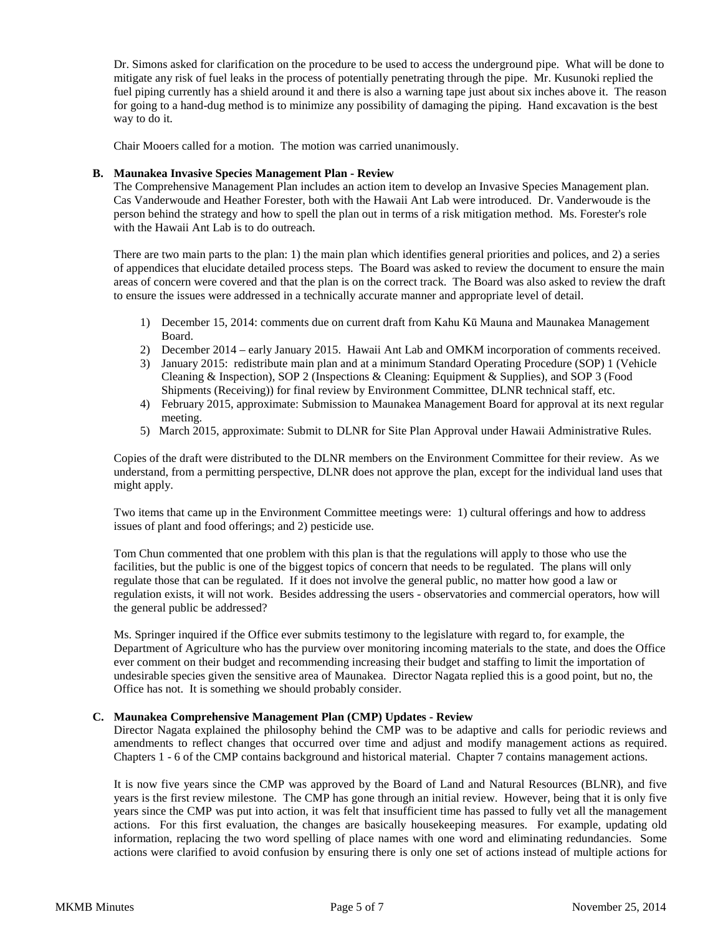Dr. Simons asked for clarification on the procedure to be used to access the underground pipe. What will be done to mitigate any risk of fuel leaks in the process of potentially penetrating through the pipe. Mr. Kusunoki replied the fuel piping currently has a shield around it and there is also a warning tape just about six inches above it. The reason for going to a hand-dug method is to minimize any possibility of damaging the piping. Hand excavation is the best way to do it.

Chair Mooers called for a motion. The motion was carried unanimously.

# **B. Maunakea Invasive Species Management Plan - Review**

The Comprehensive Management Plan includes an action item to develop an Invasive Species Management plan. Cas Vanderwoude and Heather Forester, both with the Hawaii Ant Lab were introduced. Dr. Vanderwoude is the person behind the strategy and how to spell the plan out in terms of a risk mitigation method. Ms. Forester's role with the Hawaii Ant Lab is to do outreach.

There are two main parts to the plan: 1) the main plan which identifies general priorities and polices, and 2) a series of appendices that elucidate detailed process steps. The Board was asked to review the document to ensure the main areas of concern were covered and that the plan is on the correct track. The Board was also asked to review the draft to ensure the issues were addressed in a technically accurate manner and appropriate level of detail.

- 1) December 15, 2014: comments due on current draft from Kahu Kū Mauna and Maunakea Management Board.
- 2) December 2014 early January 2015. Hawaii Ant Lab and OMKM incorporation of comments received.
- 3) January 2015: redistribute main plan and at a minimum Standard Operating Procedure (SOP) 1 (Vehicle Cleaning & Inspection), SOP 2 (Inspections & Cleaning: Equipment & Supplies), and SOP 3 (Food Shipments (Receiving)) for final review by Environment Committee, DLNR technical staff, etc.
- 4) February 2015, approximate: Submission to Maunakea Management Board for approval at its next regular meeting.
- 5) March 2015, approximate: Submit to DLNR for Site Plan Approval under Hawaii Administrative Rules.

Copies of the draft were distributed to the DLNR members on the Environment Committee for their review. As we understand, from a permitting perspective, DLNR does not approve the plan, except for the individual land uses that might apply.

Two items that came up in the Environment Committee meetings were: 1) cultural offerings and how to address issues of plant and food offerings; and 2) pesticide use.

Tom Chun commented that one problem with this plan is that the regulations will apply to those who use the facilities, but the public is one of the biggest topics of concern that needs to be regulated. The plans will only regulate those that can be regulated. If it does not involve the general public, no matter how good a law or regulation exists, it will not work. Besides addressing the users - observatories and commercial operators, how will the general public be addressed?

Ms. Springer inquired if the Office ever submits testimony to the legislature with regard to, for example, the Department of Agriculture who has the purview over monitoring incoming materials to the state, and does the Office ever comment on their budget and recommending increasing their budget and staffing to limit the importation of undesirable species given the sensitive area of Maunakea. Director Nagata replied this is a good point, but no, the Office has not. It is something we should probably consider.

#### **C. Maunakea Comprehensive Management Plan (CMP) Updates - Review**

Director Nagata explained the philosophy behind the CMP was to be adaptive and calls for periodic reviews and amendments to reflect changes that occurred over time and adjust and modify management actions as required. Chapters 1 - 6 of the CMP contains background and historical material. Chapter 7 contains management actions.

It is now five years since the CMP was approved by the Board of Land and Natural Resources (BLNR), and five years is the first review milestone. The CMP has gone through an initial review. However, being that it is only five years since the CMP was put into action, it was felt that insufficient time has passed to fully vet all the management actions. For this first evaluation, the changes are basically housekeeping measures. For example, updating old information, replacing the two word spelling of place names with one word and eliminating redundancies. Some actions were clarified to avoid confusion by ensuring there is only one set of actions instead of multiple actions for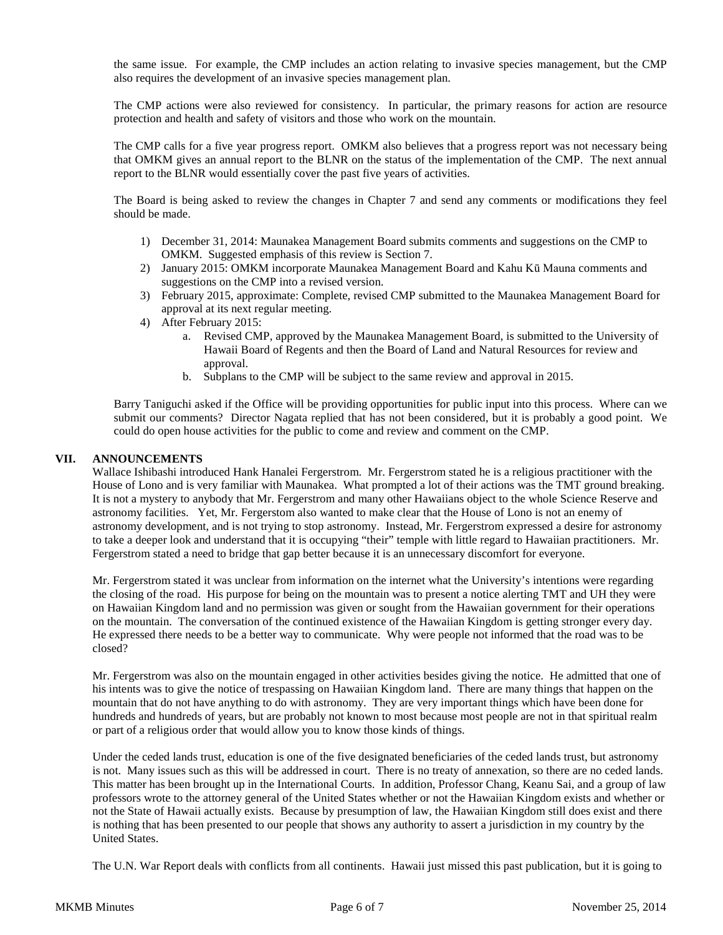the same issue. For example, the CMP includes an action relating to invasive species management, but the CMP also requires the development of an invasive species management plan.

The CMP actions were also reviewed for consistency. In particular, the primary reasons for action are resource protection and health and safety of visitors and those who work on the mountain.

The CMP calls for a five year progress report. OMKM also believes that a progress report was not necessary being that OMKM gives an annual report to the BLNR on the status of the implementation of the CMP. The next annual report to the BLNR would essentially cover the past five years of activities.

The Board is being asked to review the changes in Chapter 7 and send any comments or modifications they feel should be made.

- 1) December 31, 2014: Maunakea Management Board submits comments and suggestions on the CMP to OMKM. Suggested emphasis of this review is Section 7.
- 2) January 2015: OMKM incorporate Maunakea Management Board and Kahu Kū Mauna comments and suggestions on the CMP into a revised version.
- 3) February 2015, approximate: Complete, revised CMP submitted to the Maunakea Management Board for approval at its next regular meeting.
- 4) After February 2015:
	- a. Revised CMP, approved by the Maunakea Management Board, is submitted to the University of Hawaii Board of Regents and then the Board of Land and Natural Resources for review and approval.
	- b. Subplans to the CMP will be subject to the same review and approval in 2015.

Barry Taniguchi asked if the Office will be providing opportunities for public input into this process. Where can we submit our comments? Director Nagata replied that has not been considered, but it is probably a good point. We could do open house activities for the public to come and review and comment on the CMP.

### **VII. ANNOUNCEMENTS**

Wallace Ishibashi introduced Hank Hanalei Fergerstrom. Mr. Fergerstrom stated he is a religious practitioner with the House of Lono and is very familiar with Maunakea. What prompted a lot of their actions was the TMT ground breaking. It is not a mystery to anybody that Mr. Fergerstrom and many other Hawaiians object to the whole Science Reserve and astronomy facilities. Yet, Mr. Fergerstom also wanted to make clear that the House of Lono is not an enemy of astronomy development, and is not trying to stop astronomy. Instead, Mr. Fergerstrom expressed a desire for astronomy to take a deeper look and understand that it is occupying "their" temple with little regard to Hawaiian practitioners. Mr. Fergerstrom stated a need to bridge that gap better because it is an unnecessary discomfort for everyone.

Mr. Fergerstrom stated it was unclear from information on the internet what the University's intentions were regarding the closing of the road. His purpose for being on the mountain was to present a notice alerting TMT and UH they were on Hawaiian Kingdom land and no permission was given or sought from the Hawaiian government for their operations on the mountain. The conversation of the continued existence of the Hawaiian Kingdom is getting stronger every day. He expressed there needs to be a better way to communicate. Why were people not informed that the road was to be closed?

Mr. Fergerstrom was also on the mountain engaged in other activities besides giving the notice. He admitted that one of his intents was to give the notice of trespassing on Hawaiian Kingdom land. There are many things that happen on the mountain that do not have anything to do with astronomy. They are very important things which have been done for hundreds and hundreds of years, but are probably not known to most because most people are not in that spiritual realm or part of a religious order that would allow you to know those kinds of things.

Under the ceded lands trust, education is one of the five designated beneficiaries of the ceded lands trust, but astronomy is not. Many issues such as this will be addressed in court. There is no treaty of annexation, so there are no ceded lands. This matter has been brought up in the International Courts. In addition, Professor Chang, Keanu Sai, and a group of law professors wrote to the attorney general of the United States whether or not the Hawaiian Kingdom exists and whether or not the State of Hawaii actually exists. Because by presumption of law, the Hawaiian Kingdom still does exist and there is nothing that has been presented to our people that shows any authority to assert a jurisdiction in my country by the United States.

The U.N. War Report deals with conflicts from all continents. Hawaii just missed this past publication, but it is going to